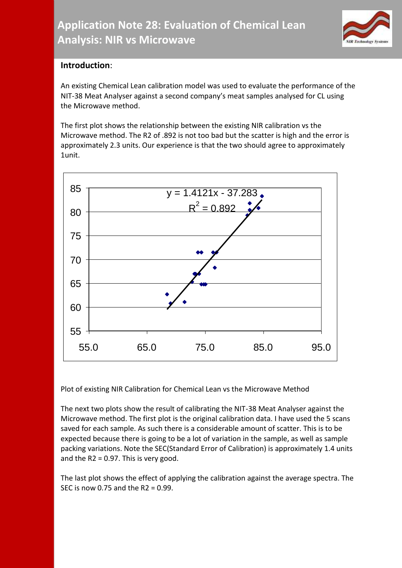

## **Introduction**:

An existing Chemical Lean calibration model was used to evaluate the performance of the NIT-38 Meat Analyser against a second company's meat samples analysed for CL using the Microwave method.

The first plot shows the relationship between the existing NIR calibration vs the Microwave method. The R2 of .892 is not too bad but the scatter is high and the error is approximately 2.3 units. Our experience is that the two should agree to approximately 1unit.



Plot of existing NIR Calibration for Chemical Lean vs the Microwave Method

The next two plots show the result of calibrating the NIT-38 Meat Analyser against the Microwave method. The first plot is the original calibration data. I have used the 5 scans saved for each sample. As such there is a considerable amount of scatter. This is to be expected because there is going to be a lot of variation in the sample, as well as sample packing variations. Note the SEC(Standard Error of Calibration) is approximately 1.4 units and the  $R2 = 0.97$ . This is very good.

The last plot shows the effect of applying the calibration against the average spectra. The SEC is now 0.75 and the R2 = 0.99.